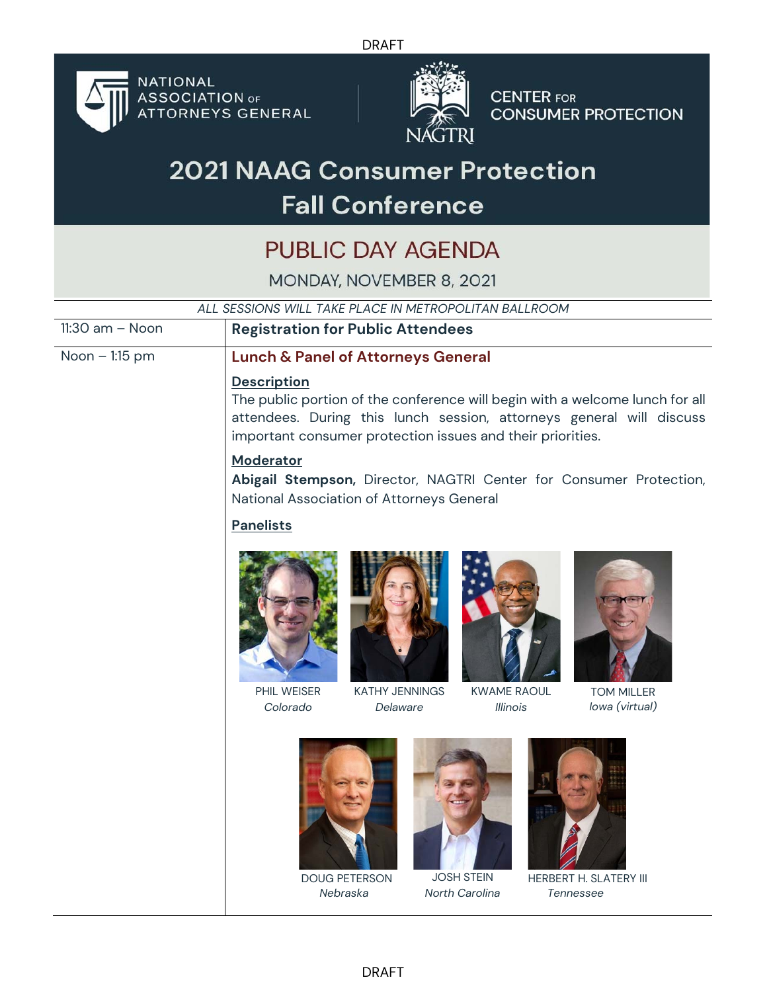DRAFT



**NATIONAL ASSOCIATION OF**<br>ATTORNEYS GENERAL



**CENTER FOR CONSUMER PROTECTION** 

## **2021 NAAG Consumer Protection Fall Conference**

## PUBLIC DAY AGENDA

MONDAY, NOVEMBER 8, 2021

| ALL SESSIONS WILL TAKE PLACE IN METROPOLITAN BALLROOM |                                                                                                                                                                                                                                          |  |
|-------------------------------------------------------|------------------------------------------------------------------------------------------------------------------------------------------------------------------------------------------------------------------------------------------|--|
| $11:30$ am $-$ Noon                                   | <b>Registration for Public Attendees</b>                                                                                                                                                                                                 |  |
| Noon - 1:15 pm                                        | <b>Lunch &amp; Panel of Attorneys General</b>                                                                                                                                                                                            |  |
|                                                       | <b>Description</b><br>The public portion of the conference will begin with a welcome lunch for all<br>attendees. During this lunch session, attorneys general will discuss<br>important consumer protection issues and their priorities. |  |
|                                                       | <b>Moderator</b><br>Abigail Stempson, Director, NAGTRI Center for Consumer Protection,<br>National Association of Attorneys General                                                                                                      |  |
|                                                       | <b>Panelists</b>                                                                                                                                                                                                                         |  |
|                                                       |                                                                                                                                                                                                                                          |  |
|                                                       | PHIL WEISER<br><b>KATHY JENNINGS</b><br><b>KWAME RAOUL</b><br><b>TOM MILLER</b>                                                                                                                                                          |  |
|                                                       | Colorado<br>lowa (virtual)<br>Delaware<br><i>Illinois</i><br><b>JOSH STEIN</b><br><b>DOUG PETERSON</b><br><b>HERBERT H. SLATERY III</b><br>Nebraska<br>North Carolina<br>Tennessee                                                       |  |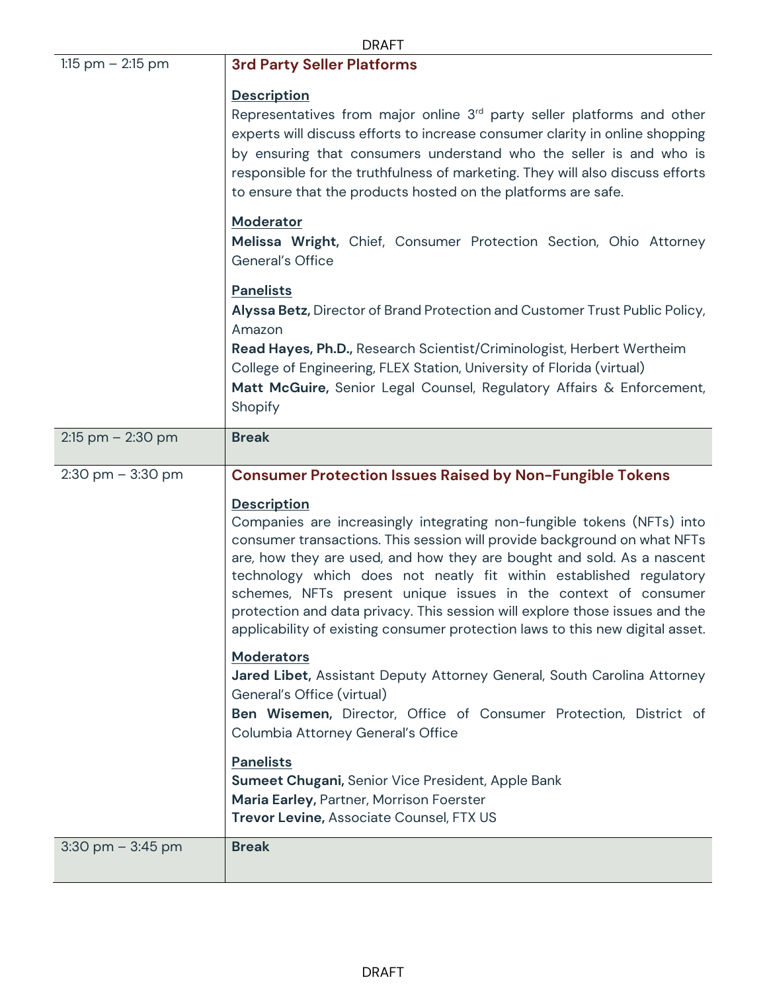|                      | <b>DRAFT</b>                                                                                                                                                                                                                                                                                                                                                                                                                                               |  |  |
|----------------------|------------------------------------------------------------------------------------------------------------------------------------------------------------------------------------------------------------------------------------------------------------------------------------------------------------------------------------------------------------------------------------------------------------------------------------------------------------|--|--|
| 1:15 pm $-$ 2:15 pm  | <b>3rd Party Seller Platforms</b>                                                                                                                                                                                                                                                                                                                                                                                                                          |  |  |
|                      | <b>Description</b><br>Representatives from major online 3rd party seller platforms and other<br>experts will discuss efforts to increase consumer clarity in online shopping<br>by ensuring that consumers understand who the seller is and who is<br>responsible for the truthfulness of marketing. They will also discuss efforts<br>to ensure that the products hosted on the platforms are safe.                                                       |  |  |
|                      | Moderator<br>Melissa Wright, Chief, Consumer Protection Section, Ohio Attorney<br>General's Office                                                                                                                                                                                                                                                                                                                                                         |  |  |
|                      | <b>Panelists</b><br>Alyssa Betz, Director of Brand Protection and Customer Trust Public Policy,<br>Amazon                                                                                                                                                                                                                                                                                                                                                  |  |  |
|                      | Read Hayes, Ph.D., Research Scientist/Criminologist, Herbert Wertheim<br>College of Engineering, FLEX Station, University of Florida (virtual)<br>Matt McGuire, Senior Legal Counsel, Regulatory Affairs & Enforcement,<br>Shopify                                                                                                                                                                                                                         |  |  |
| $2:15$ pm $-2:30$ pm | <b>Break</b>                                                                                                                                                                                                                                                                                                                                                                                                                                               |  |  |
| $2:30$ pm $-3:30$ pm | <b>Consumer Protection Issues Raised by Non-Fungible Tokens</b>                                                                                                                                                                                                                                                                                                                                                                                            |  |  |
|                      | <b>Description</b><br>Companies are increasingly integrating non-fungible tokens (NFTs) into                                                                                                                                                                                                                                                                                                                                                               |  |  |
|                      | consumer transactions. This session will provide background on what NFTs<br>are, how they are used, and how they are bought and sold. As a nascent<br>technology which does not neatly fit within established regulatory<br>schemes, NFTs present unique issues in the context of consumer<br>protection and data privacy. This session will explore those issues and the<br>applicability of existing consumer protection laws to this new digital asset. |  |  |
|                      | <b>Moderators</b><br>Jared Libet, Assistant Deputy Attorney General, South Carolina Attorney<br>General's Office (virtual)<br>Ben Wisemen, Director, Office of Consumer Protection, District of<br>Columbia Attorney General's Office                                                                                                                                                                                                                      |  |  |
|                      | <b>Panelists</b><br><b>Sumeet Chugani, Senior Vice President, Apple Bank</b><br>Maria Earley, Partner, Morrison Foerster<br>Trevor Levine, Associate Counsel, FTX US                                                                                                                                                                                                                                                                                       |  |  |